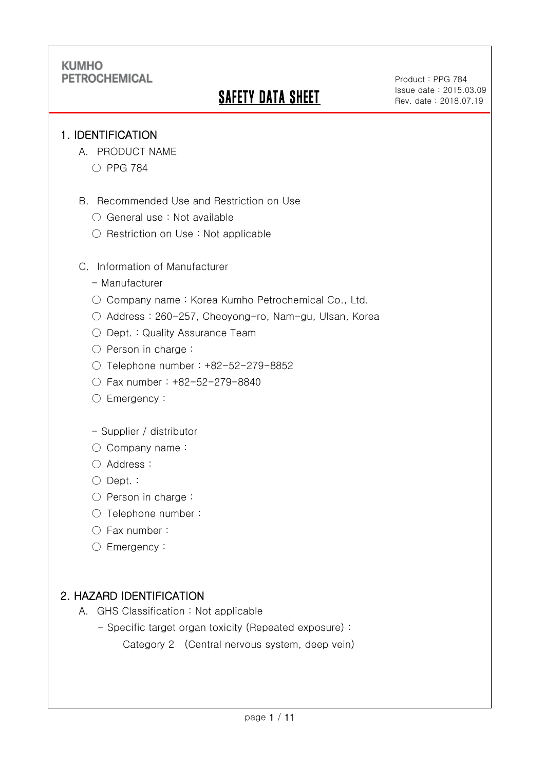# SAFETY DATA SHEET

Product : PPG 784 Issue date : 2015.03.09 Rev. date : 2018.07.19

.

### 1. IDENTIFICATION

Ξ

- A. PRODUCT NAME
	- PPG 784
- B. Recommended Use and Restriction on Use
	- General use : Not available
	- Restriction on Use: Not applicable

C. Information of Manufacturer

- Manufacturer
- Company name: Korea Kumho Petrochemical Co., Ltd.
- Address : 260-257, Cheoyong-ro, Nam-gu, Ulsan, Korea
- Dept. : Quality Assurance Team
- Person in charge :
- Telephone number : +82-52-279-8852
- Fax number : +82-52-279-8840
- Emergency:
- Supplier / distributor
- Company name:
- Address :
- Dept. :
- Person in charge :
- Telephone number :
- Fax number :
- Emergency:

## 2. HAZARD IDENTIFICATION

- A. GHS Classification : Not applicable
	- Specific target organ toxicity (Repeated exposure) :
		- Category 2 (Central nervous system, deep vein)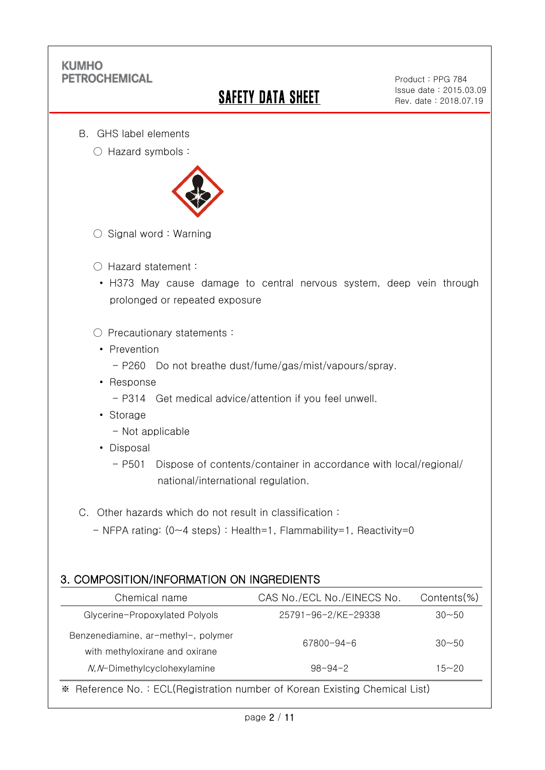Ξ

# SAFETY DATA SHEET

Product : PPG 784 Issue date : 2015.03.09 Rev. date : 2018.07.19

.

- B. GHS label elements
	- Hazard symbols :



- $\bigcirc$  Signal word : Warning
- Hazard statement :
	- H373 May cause damage to central nervous system, deep vein through prolonged or repeated exposure
- Precautionary statements :
	- Prevention
		- P260 Do not breathe dust/fume/gas/mist/vapours/spray.
	- Response
		- P314 Get medical advice/attention if you feel unwell.
	- Storage
		- Not applicable
	- Disposal
		- P501 Dispose of contents/container in accordance with local/regional/ national/international regulation.
- C. Other hazards which do not result in classification :
	- NFPA rating: (0~4 steps) : Health=1, Flammability=1, Reactivity=0

### 3. COMPOSITION/INFORMATION ON INGREDIENTS

| Chemical name                                                         | CAS No./ECL No./EINECS No. | $Contents$ %) |
|-----------------------------------------------------------------------|----------------------------|---------------|
| Glycerine-Propoxylated Polyols                                        | 25791-96-2/KE-29338        | $30 - 50$     |
| Benzenediamine, ar-methyl-, polymer<br>with methyloxirane and oxirane | 67800-94-6                 | $30 - 50$     |
| N, N-Dimethylcyclohexylamine                                          | $98 - 94 - 2$              | $15 - 20$     |
|                                                                       |                            |               |

※ Reference No. : ECL(Registration number of Korean Existing Chemical List)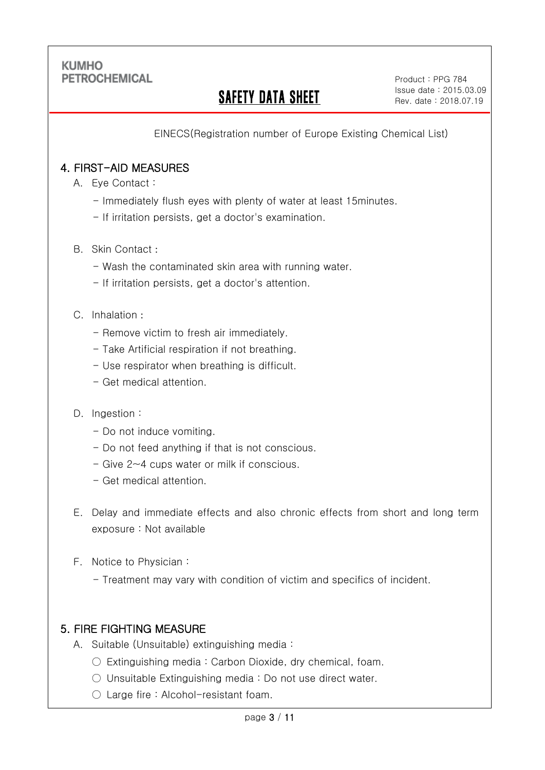Ξ

# SAFETY DATA SHEET

.

EINECS(Registration number of Europe Existing Chemical List)

### 4. FIRST-AID MEASURES

- A. Eye Contact :
	- Immediately flush eyes with plenty of water at least 15minutes.
	- If irritation persists, get a doctor's examination.
- B. Skin Contact :
	- Wash the contaminated skin area with running water.
	- If irritation persists, get a doctor's attention.

#### C. Inhalation :

- Remove victim to fresh air immediately.
- Take Artificial respiration if not breathing.
- Use respirator when breathing is difficult.
- Get medical attention.

#### D. Ingestion :

- Do not induce vomiting.
- Do not feed anything if that is not conscious.
- Give 2~4 cups water or milk if conscious.
- Get medical attention.
- E. Delay and immediate effects and also chronic effects from short and long term exposure : Not available
- F. Notice to Physician :
	- Treatment may vary with condition of victim and specifics of incident.

### 5. FIRE FIGHTING MEASURE

- A. Suitable (Unsuitable) extinguishing media :
	- $\circ$  Extinguishing media : Carbon Dioxide, dry chemical, foam.
	- Unsuitable Extinguishing media : Do not use direct water.
	- Large fire : Alcohol-resistant foam.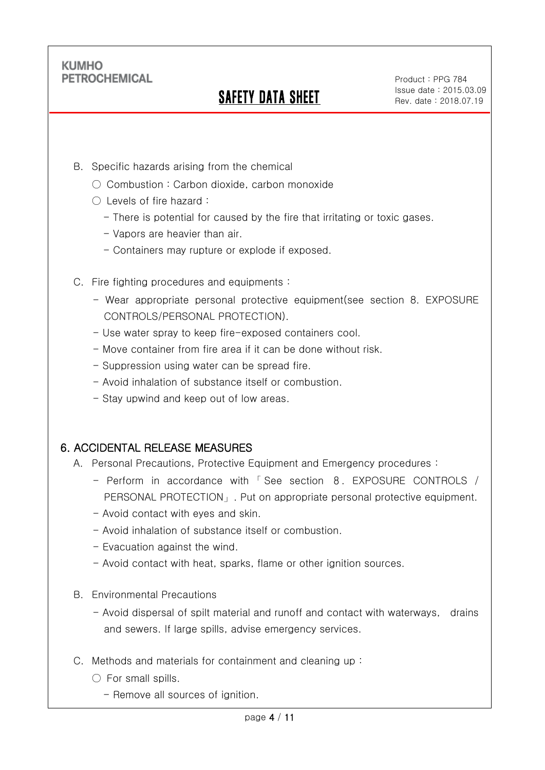Ξ

# SAFETY DATA SHEET

.

- B. Specific hazards arising from the chemical
	- Combustion: Carbon dioxide, carbon monoxide
	- Levels of fire hazard :
		- There is potential for caused by the fire that irritating or toxic gases.
		- Vapors are heavier than air.
		- Containers may rupture or explode if exposed.
- C. Fire fighting procedures and equipments :
	- Wear appropriate personal protective equipment(see section 8. EXPOSURE CONTROLS/PERSONAL PROTECTION).
	- Use water spray to keep fire-exposed containers cool.
	- Move container from fire area if it can be done without risk.
	- Suppression using water can be spread fire.
	- Avoid inhalation of substance itself or combustion.
	- Stay upwind and keep out of low areas.

### 6. ACCIDENTAL RELEASE MEASURES

- A. Personal Precautions, Protective Equipment and Emergency procedures :
	- Perform in accordance with 「 See section 8. EXPOSURE CONTROLS / PERSONAL PROTECTION」. Put on appropriate personal protective equipment.
	- Avoid contact with eyes and skin.
	- Avoid inhalation of substance itself or combustion.
	- Evacuation against the wind.
	- Avoid contact with heat, sparks, flame or other ignition sources.
- B. Environmental Precautions
	- Avoid dispersal of spilt material and runoff and contact with waterways, drains and sewers. If large spills, advise emergency services.
- C. Methods and materials for containment and cleaning up :
	- $\bigcirc$  For small spills.
		- Remove all sources of ignition.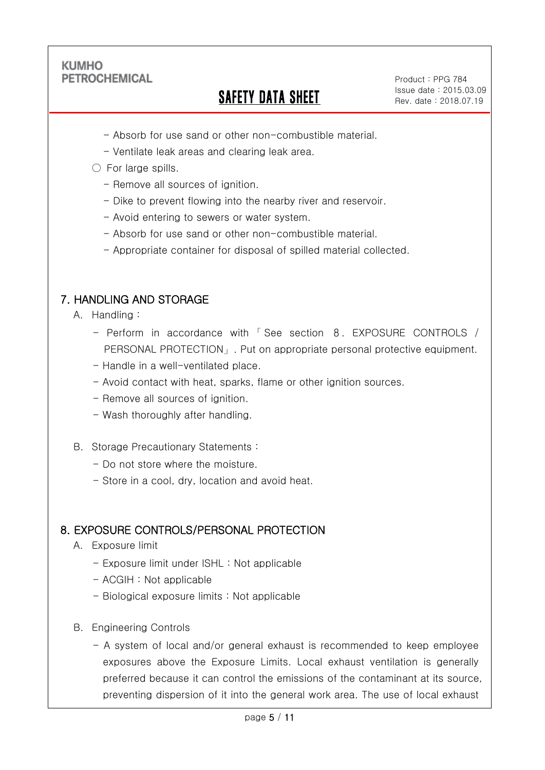Ξ

# SAFETY DATA SHEET

Product : PPG 784 Issue date : 2015.03.09 Rev. date : 2018.07.19

.

- Absorb for use sand or other non-combustible material.
- Ventilate leak areas and clearing leak area.

### ○ For large spills.

- Remove all sources of ignition.
- Dike to prevent flowing into the nearby river and reservoir.
- Avoid entering to sewers or water system.
- Absorb for use sand or other non-combustible material.
- Appropriate container for disposal of spilled material collected.

### 7. HANDLING AND STORAGE

- A. Handling :
	- Perform in accordance with 「 See section 8. EXPOSURE CONTROLS / PERSONAL PROTECTION」. Put on appropriate personal protective equipment.
	- Handle in a well-ventilated place.
	- Avoid contact with heat, sparks, flame or other ignition sources.
	- Remove all sources of ignition.
	- Wash thoroughly after handling.
- B. Storage Precautionary Statements :
	- Do not store where the moisture.
	- Store in a cool, dry, location and avoid heat.

### 8. EXPOSURE CONTROLS/PERSONAL PROTECTION

- A. Exposure limit
	- Exposure limit under ISHL : Not applicable
	- ACGIH : Not applicable
	- Biological exposure limits : Not applicable
- B. Engineering Controls
	- A system of local and/or general exhaust is recommended to keep employee exposures above the Exposure Limits. Local exhaust ventilation is generally preferred because it can control the emissions of the contaminant at its source, preventing dispersion of it into the general work area. The use of local exhaust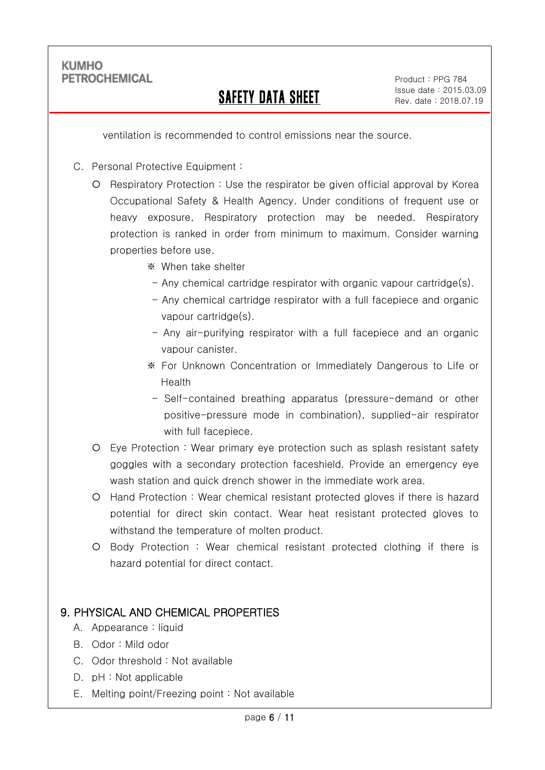Ξ

## SAFETY DATA SHEET

.

ventilation is recommended to control emissions near the source.

- C. Personal Protective Equipment :
	- Respiratory Protection : Use the respirator be given official approval by Korea Occupational Safety & Health Agency. Under conditions of frequent use or heavy exposure, Respiratory protection may be needed. Respiratory protection is ranked in order from minimum to maximum. Consider warning properties before use.
		- ※ When take shelter
		- Any chemical cartridge respirator with organic vapour cartridge(s).
		- Any chemical cartridge respirator with a full facepiece and organic vapour cartridge(s).
		- Any air-purifying respirator with a full facepiece and an organic vapour canister.
		- ※ For Unknown Concentration or Immediately Dangerous to Life or Health
		- Self-contained breathing apparatus (pressure-demand or other positive-pressure mode in combination), supplied-air respirator with full facepiece.
	- Eye Protection : Wear primary eye protection such as splash resistant safety goggles with a secondary protection faceshield. Provide an emergency eye wash station and quick drench shower in the immediate work area.
	- Hand Protection : Wear chemical resistant protected gloves if there is hazard potential for direct skin contact. Wear heat resistant protected gloves to withstand the temperature of molten product.
	- Body Protection : Wear chemical resistant protected clothing if there is hazard potential for direct contact.

### 9. PHYSICAL AND CHEMICAL PROPERTIES

- A. Appearance : liquid
- B. Odor : Mild odor
- C. Odor threshold : Not available
- D. pH : Not applicable
- E. Melting point/Freezing point : Not available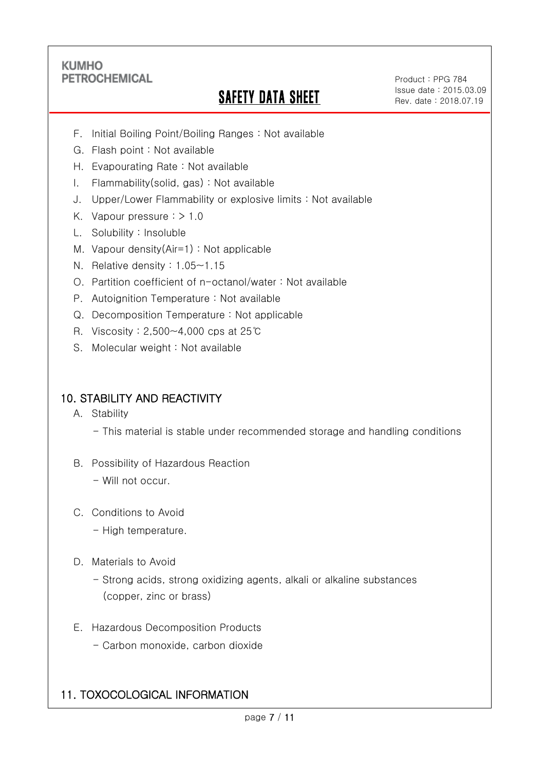Ξ

# SAFETY DATA SHEET

Product : PPG 784 Issue date : 2015.03.09 Rev. date : 2018.07.19

.

- F. Initial Boiling Point/Boiling Ranges : Not available
- G. Flash point : Not available
- H. Evapourating Rate : Not available
- I. Flammability(solid, gas) : Not available
- J. Upper/Lower Flammability or explosive limits : Not available
- K. Vapour pressure : > 1.0
- L. Solubility : Insoluble
- M. Vapour density(Air=1) : Not applicable
- N. Relative density : 1.05~1.15
- O. Partition coefficient of n-octanol/water : Not available
- P. Autoignition Temperature : Not available
- Q. Decomposition Temperature : Not applicable
- R. Viscosity : 2,500~4,000 cps at 25℃
- S. Molecular weight : Not available

### 10. STABILITY AND REACTIVITY

- A. Stability
	- This material is stable under recommended storage and handling conditions
- B. Possibility of Hazardous Reaction
	- Will not occur.
- C. Conditions to Avoid
	- High temperature.
- D. Materials to Avoid
	- Strong acids, strong oxidizing agents, alkali or alkaline substances (copper, zinc or brass)
- E. Hazardous Decomposition Products
	- Carbon monoxide, carbon dioxide

## 11. TOXOCOLOGICAL INFORMATION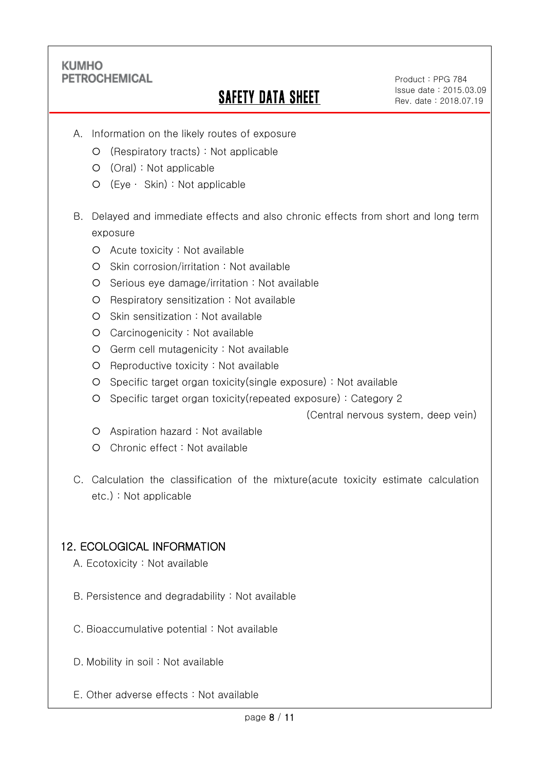Ξ

# SAFETY DATA SHEET

Product : PPG 784 Issue date : 2015.03.09 Rev. date : 2018.07.19

.

- A. Information on the likely routes of exposure
	- (Respiratory tracts) : Not applicable
	- (Oral) : Not applicable
	- (Eye ∙ Skin) : Not applicable
- B. Delayed and immediate effects and also chronic effects from short and long term exposure
	- O Acute toxicity : Not available
	- O Skin corrosion/irritation : Not available
	- Serious eye damage/irritation : Not available
	- Respiratory sensitization : Not available
	- O Skin sensitization : Not available
	- Carcinogenicity : Not available
	- Germ cell mutagenicity : Not available
	- O Reproductive toxicity : Not available
	- Specific target organ toxicity(single exposure) : Not available
	- Specific target organ toxicity(repeated exposure) : Category 2

(Central nervous system, deep vein)

- Aspiration hazard : Not available
- O Chronic effect : Not available
- C. Calculation the classification of the mixture(acute toxicity estimate calculation etc.) : Not applicable

### 12. ECOLOGICAL INFORMATION

- A. Ecotoxicity : Not available
- B. Persistence and degradability : Not available
- C. Bioaccumulative potential : Not available
- D. Mobility in soil : Not available
- E. Other adverse effects : Not available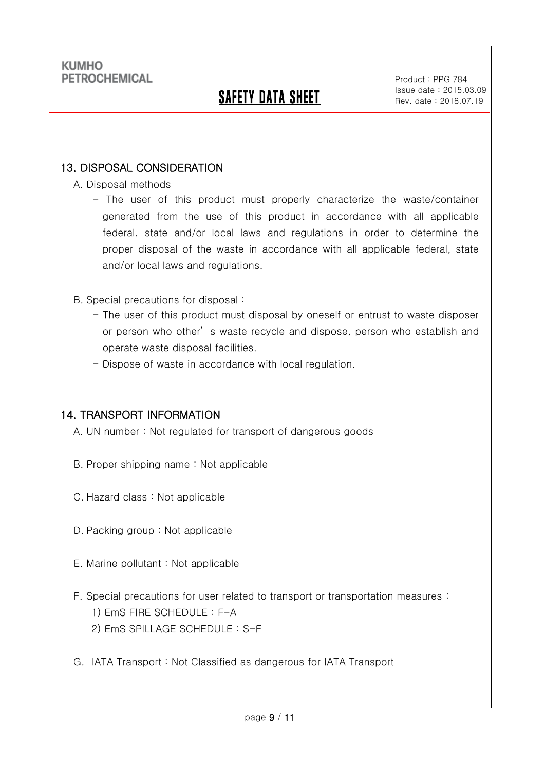Ξ

# SAFETY DATA SHEET

Product : PPG 784 Issue date : 2015.03.09 Rev. date : 2018.07.19

.

### 13. DISPOSAL CONSIDERATION

- A. Disposal methods
	- The user of this product must properly characterize the waste/container generated from the use of this product in accordance with all applicable federal, state and/or local laws and regulations in order to determine the proper disposal of the waste in accordance with all applicable federal, state and/or local laws and regulations.
- B. Special precautions for disposal :
	- The user of this product must disposal by oneself or entrust to waste disposer or person who other' s waste recycle and dispose, person who establish and operate waste disposal facilities.
	- Dispose of waste in accordance with local regulation.

### 14. TRANSPORT INFORMATION

- A. UN number : Not regulated for transport of dangerous goods
- B. Proper shipping name : Not applicable
- C. Hazard class : Not applicable
- D. Packing group : Not applicable
- E. Marine pollutant : Not applicable
- F. Special precautions for user related to transport or transportation measures :
	- 1) EmS FIRE SCHEDULE : F-A
	- 2) EmS SPILLAGE SCHEDULE : S-F
- G. IATA Transport : Not Classified as dangerous for IATA Transport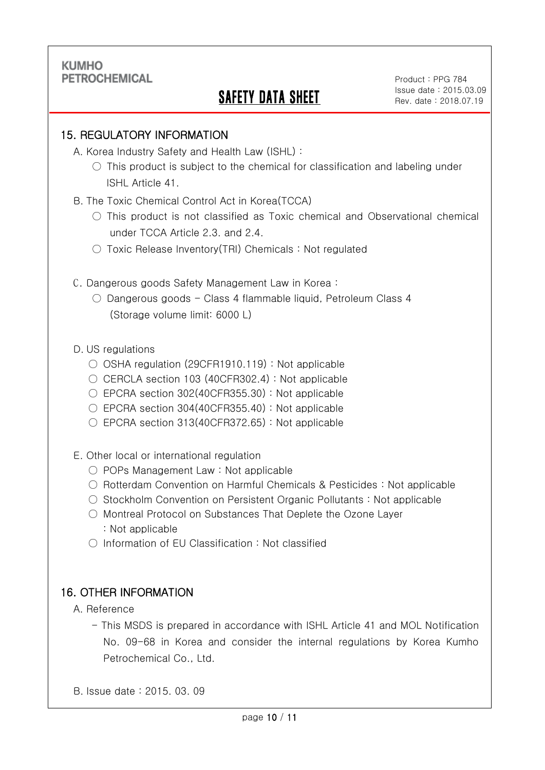Ξ

# SAFETY DATA SHEET

.

### 15. REGULATORY INFORMATION

- A. Korea Industry Safety and Health Law (ISHL) :
	- $\circ$  This product is subject to the chemical for classification and labeling under ISHL Article 41.
- B. The Toxic Chemical Control Act in Korea(TCCA)
	- $\bigcirc$  This product is not classified as Toxic chemical and Observational chemical under TCCA Article 2.3. and 2.4.
	- Toxic Release Inventory(TRI) Chemicals : Not regulated
- C. Dangerous goods Safety Management Law in Korea :
	- Dangerous goods Class 4 flammable liquid, Petroleum Class 4 (Storage volume limit: 6000 L)

### D. US regulations

- OSHA regulation (29CFR1910.119) : Not applicable
- $\bigcirc$  CERCLA section 103 (40CFR302.4) : Not applicable
- EPCRA section 302(40CFR355.30) : Not applicable
- EPCRA section 304(40CFR355.40): Not applicable
- $\circ$  EPCRA section 313(40CFR372.65) : Not applicable
- E. Other local or international regulation
	- POPs Management Law : Not applicable
	- Rotterdam Convention on Harmful Chemicals & Pesticides : Not applicable
	- Stockholm Convention on Persistent Organic Pollutants : Not applicable
	- Montreal Protocol on Substances That Deplete the Ozone Layer : Not applicable
	- Information of EU Classification : Not classified

## 16. OTHER INFORMATION

A. Reference

- This MSDS is prepared in accordance with ISHL Article 41 and MOL Notification No. 09-68 in Korea and consider the internal regulations by Korea Kumho Petrochemical Co., Ltd.
- B. Issue date : 2015. 03. 09